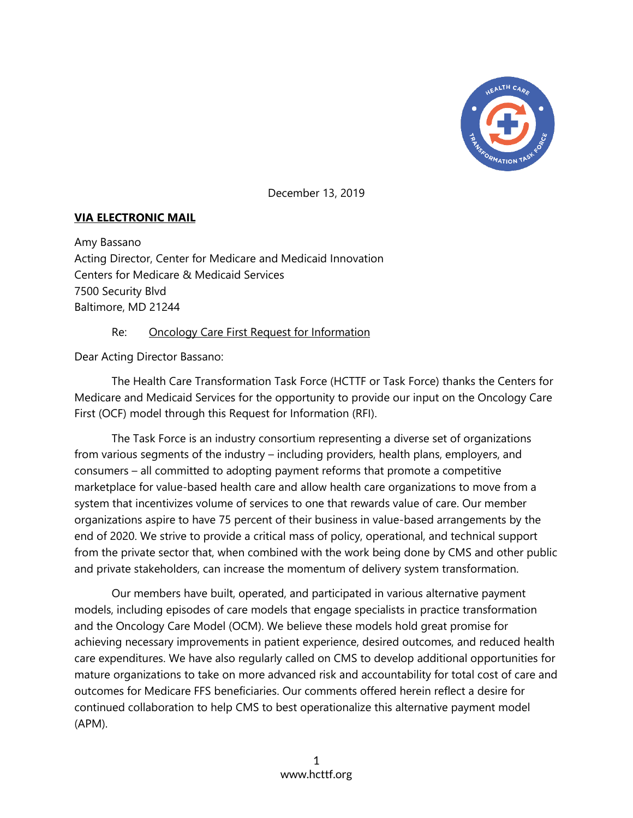

December 13, 2019

## **VIA ELECTRONIC MAIL**

Amy Bassano Acting Director, Center for Medicare and Medicaid Innovation Centers for Medicare & Medicaid Services 7500 Security Blvd Baltimore, MD 21244

## Re: Oncology Care First Request for Information

Dear Acting Director Bassano:

The Health Care Transformation Task Force (HCTTF or Task Force) thanks the Centers for Medicare and Medicaid Services for the opportunity to provide our input on the Oncology Care First (OCF) model through this Request for Information (RFI).

The Task Force is an industry consortium representing a diverse set of organizations from various segments of the industry – including providers, health plans, employers, and consumers – all committed to adopting payment reforms that promote a competitive marketplace for value-based health care and allow health care organizations to move from a system that incentivizes volume of services to one that rewards value of care. Our member organizations aspire to have 75 percent of their business in value-based arrangements by the end of 2020. We strive to provide a critical mass of policy, operational, and technical support from the private sector that, when combined with the work being done by CMS and other public and private stakeholders, can increase the momentum of delivery system transformation.

Our members have built, operated, and participated in various alternative payment models, including episodes of care models that engage specialists in practice transformation and the Oncology Care Model (OCM). We believe these models hold great promise for achieving necessary improvements in patient experience, desired outcomes, and reduced health care expenditures. We have also regularly called on CMS to develop additional opportunities for mature organizations to take on more advanced risk and accountability for total cost of care and outcomes for Medicare FFS beneficiaries. Our comments offered herein reflect a desire for continued collaboration to help CMS to best operationalize this alternative payment model (APM).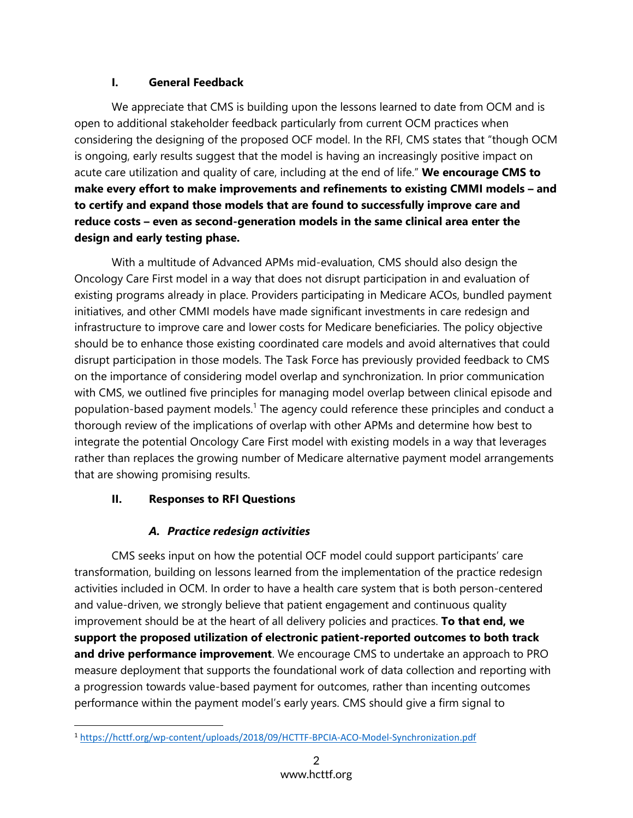## **I. General Feedback**

We appreciate that CMS is building upon the lessons learned to date from OCM and is open to additional stakeholder feedback particularly from current OCM practices when considering the designing of the proposed OCF model. In the RFI, CMS states that "though OCM is ongoing, early results suggest that the model is having an increasingly positive impact on acute care utilization and quality of care, including at the end of life." **We encourage CMS to make every effort to make improvements and refinements to existing CMMI models – and to certify and expand those models that are found to successfully improve care and reduce costs – even as second-generation models in the same clinical area enter the design and early testing phase.**

With a multitude of Advanced APMs mid-evaluation, CMS should also design the Oncology Care First model in a way that does not disrupt participation in and evaluation of existing programs already in place. Providers participating in Medicare ACOs, bundled payment initiatives, and other CMMI models have made significant investments in care redesign and infrastructure to improve care and lower costs for Medicare beneficiaries. The policy objective should be to enhance those existing coordinated care models and avoid alternatives that could disrupt participation in those models. The Task Force has previously provided feedback to CMS on the importance of considering model overlap and synchronization. In prior communication with CMS, we outlined five principles for managing model overlap between clinical episode and population-based payment models.<sup>1</sup> The agency could reference these principles and conduct a thorough review of the implications of overlap with other APMs and determine how best to integrate the potential Oncology Care First model with existing models in a way that leverages rather than replaces the growing number of Medicare alternative payment model arrangements that are showing promising results.

# **II. Responses to RFI Questions**

# *A. Practice redesign activities*

CMS seeks input on how the potential OCF model could support participants' care transformation, building on lessons learned from the implementation of the practice redesign activities included in OCM. In order to have a health care system that is both person-centered and value-driven, we strongly believe that patient engagement and continuous quality improvement should be at the heart of all delivery policies and practices. **To that end, we support the proposed utilization of electronic patient-reported outcomes to both track and drive performance improvement**. We encourage CMS to undertake an approach to PRO measure deployment that supports the foundational work of data collection and reporting with a progression towards value-based payment for outcomes, rather than incenting outcomes performance within the payment model's early years. CMS should give a firm signal to

<sup>1</sup> <https://hcttf.org/wp-content/uploads/2018/09/HCTTF-BPCIA-ACO-Model-Synchronization.pdf>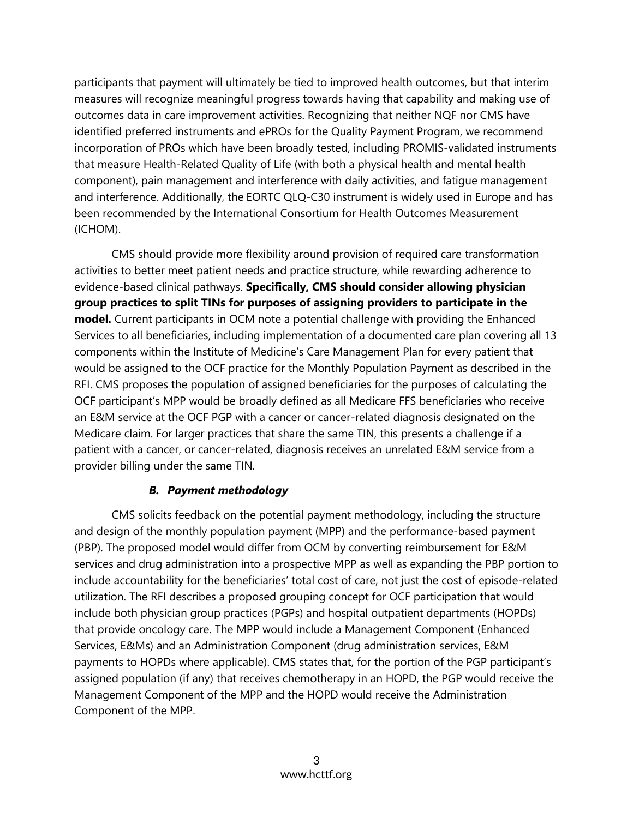participants that payment will ultimately be tied to improved health outcomes, but that interim measures will recognize meaningful progress towards having that capability and making use of outcomes data in care improvement activities. Recognizing that neither NQF nor CMS have identified preferred instruments and ePROs for the Quality Payment Program, we recommend incorporation of PROs which have been broadly tested, including PROMIS-validated instruments that measure Health-Related Quality of Life (with both a physical health and mental health component), pain management and interference with daily activities, and fatigue management and interference. Additionally, the EORTC QLQ-C30 instrument is widely used in Europe and has been recommended by the International Consortium for Health Outcomes Measurement (ICHOM).

CMS should provide more flexibility around provision of required care transformation activities to better meet patient needs and practice structure, while rewarding adherence to evidence-based clinical pathways. **Specifically, CMS should consider allowing physician group practices to split TINs for purposes of assigning providers to participate in the model.** Current participants in OCM note a potential challenge with providing the Enhanced Services to all beneficiaries, including implementation of a documented care plan covering all 13 components within the Institute of Medicine's Care Management Plan for every patient that would be assigned to the OCF practice for the Monthly Population Payment as described in the RFI. CMS proposes the population of assigned beneficiaries for the purposes of calculating the OCF participant's MPP would be broadly defined as all Medicare FFS beneficiaries who receive an E&M service at the OCF PGP with a cancer or cancer-related diagnosis designated on the Medicare claim. For larger practices that share the same TIN, this presents a challenge if a patient with a cancer, or cancer-related, diagnosis receives an unrelated E&M service from a provider billing under the same TIN.

## *B. Payment methodology*

CMS solicits feedback on the potential payment methodology, including the structure and design of the monthly population payment (MPP) and the performance-based payment (PBP). The proposed model would differ from OCM by converting reimbursement for E&M services and drug administration into a prospective MPP as well as expanding the PBP portion to include accountability for the beneficiaries' total cost of care, not just the cost of episode-related utilization. The RFI describes a proposed grouping concept for OCF participation that would include both physician group practices (PGPs) and hospital outpatient departments (HOPDs) that provide oncology care. The MPP would include a Management Component (Enhanced Services, E&Ms) and an Administration Component (drug administration services, E&M payments to HOPDs where applicable). CMS states that, for the portion of the PGP participant's assigned population (if any) that receives chemotherapy in an HOPD, the PGP would receive the Management Component of the MPP and the HOPD would receive the Administration Component of the MPP.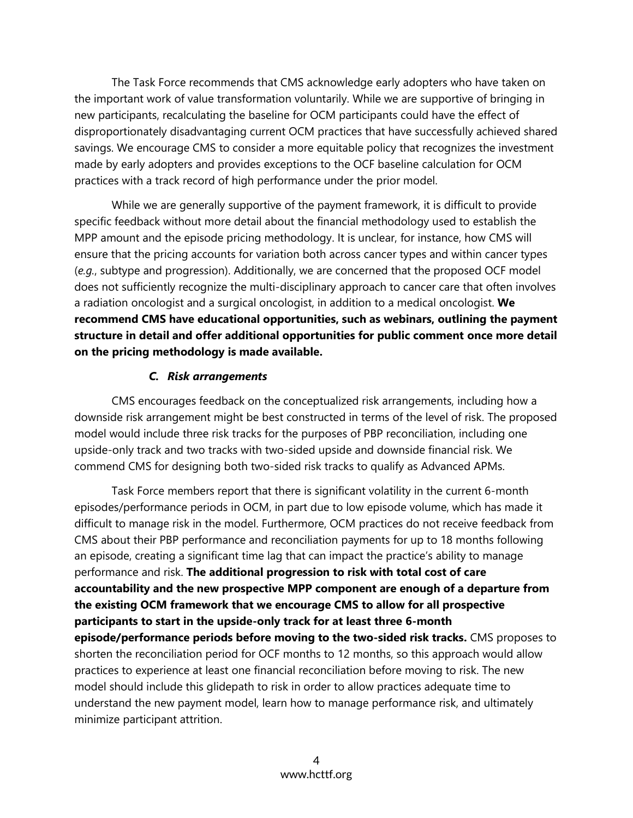The Task Force recommends that CMS acknowledge early adopters who have taken on the important work of value transformation voluntarily. While we are supportive of bringing in new participants, recalculating the baseline for OCM participants could have the effect of disproportionately disadvantaging current OCM practices that have successfully achieved shared savings. We encourage CMS to consider a more equitable policy that recognizes the investment made by early adopters and provides exceptions to the OCF baseline calculation for OCM practices with a track record of high performance under the prior model.

While we are generally supportive of the payment framework, it is difficult to provide specific feedback without more detail about the financial methodology used to establish the MPP amount and the episode pricing methodology. It is unclear, for instance, how CMS will ensure that the pricing accounts for variation both across cancer types and within cancer types (*e.g.*, subtype and progression). Additionally, we are concerned that the proposed OCF model does not sufficiently recognize the multi-disciplinary approach to cancer care that often involves a radiation oncologist and a surgical oncologist, in addition to a medical oncologist. **We recommend CMS have educational opportunities, such as webinars, outlining the payment structure in detail and offer additional opportunities for public comment once more detail on the pricing methodology is made available.**

#### *C. Risk arrangements*

CMS encourages feedback on the conceptualized risk arrangements, including how a downside risk arrangement might be best constructed in terms of the level of risk. The proposed model would include three risk tracks for the purposes of PBP reconciliation, including one upside-only track and two tracks with two-sided upside and downside financial risk. We commend CMS for designing both two-sided risk tracks to qualify as Advanced APMs.

Task Force members report that there is significant volatility in the current 6-month episodes/performance periods in OCM, in part due to low episode volume, which has made it difficult to manage risk in the model. Furthermore, OCM practices do not receive feedback from CMS about their PBP performance and reconciliation payments for up to 18 months following an episode, creating a significant time lag that can impact the practice's ability to manage performance and risk. **The additional progression to risk with total cost of care accountability and the new prospective MPP component are enough of a departure from the existing OCM framework that we encourage CMS to allow for all prospective participants to start in the upside-only track for at least three 6-month episode/performance periods before moving to the two-sided risk tracks.** CMS proposes to shorten the reconciliation period for OCF months to 12 months, so this approach would allow practices to experience at least one financial reconciliation before moving to risk. The new model should include this glidepath to risk in order to allow practices adequate time to understand the new payment model, learn how to manage performance risk, and ultimately minimize participant attrition.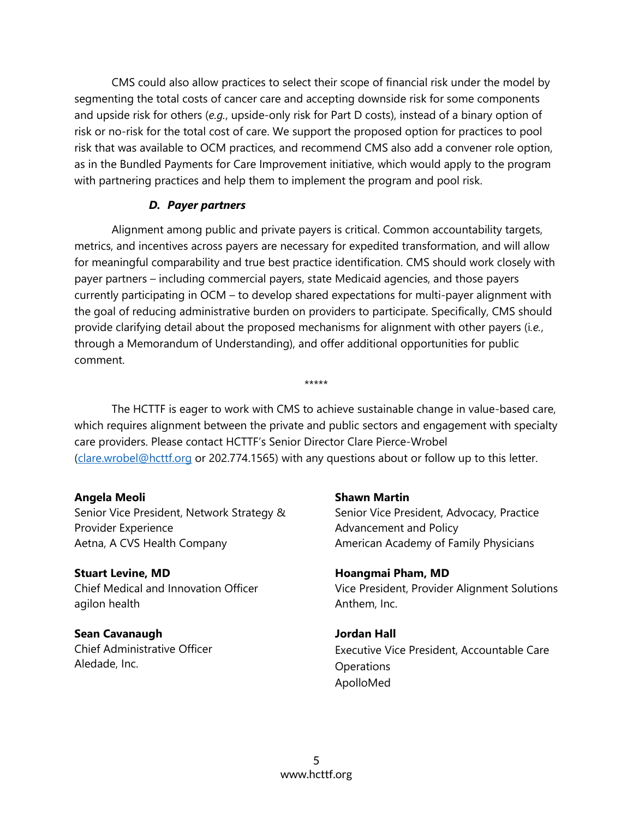CMS could also allow practices to select their scope of financial risk under the model by segmenting the total costs of cancer care and accepting downside risk for some components and upside risk for others (*e.g.*, upside-only risk for Part D costs), instead of a binary option of risk or no-risk for the total cost of care. We support the proposed option for practices to pool risk that was available to OCM practices, and recommend CMS also add a convener role option, as in the Bundled Payments for Care Improvement initiative, which would apply to the program with partnering practices and help them to implement the program and pool risk.

#### *D. Payer partners*

Alignment among public and private payers is critical. Common accountability targets, metrics, and incentives across payers are necessary for expedited transformation, and will allow for meaningful comparability and true best practice identification. CMS should work closely with payer partners – including commercial payers, state Medicaid agencies, and those payers currently participating in OCM – to develop shared expectations for multi-payer alignment with the goal of reducing administrative burden on providers to participate. Specifically, CMS should provide clarifying detail about the proposed mechanisms for alignment with other payers (i*.e.*, through a Memorandum of Understanding), and offer additional opportunities for public comment.

The HCTTF is eager to work with CMS to achieve sustainable change in value-based care, which requires alignment between the private and public sectors and engagement with specialty care providers. Please contact HCTTF's Senior Director Clare Pierce-Wrobel [\(clare.wrobel@hcttf.org](mailto:clare.wrobel@hcttf.org) or 202.774.1565) with any questions about or follow up to this letter.

\*\*\*\*\*

**Angela Meoli** Senior Vice President, Network Strategy & Provider Experience Aetna, A CVS Health Company

**Stuart Levine, MD** Chief Medical and Innovation Officer agilon health

**Sean Cavanaugh** Chief Administrative Officer Aledade, Inc.

#### **Shawn Martin**

Senior Vice President, Advocacy, Practice Advancement and Policy American Academy of Family Physicians

**Hoangmai Pham, MD** Vice President, Provider Alignment Solutions Anthem, Inc.

**Jordan Hall** Executive Vice President, Accountable Care **Operations** ApolloMed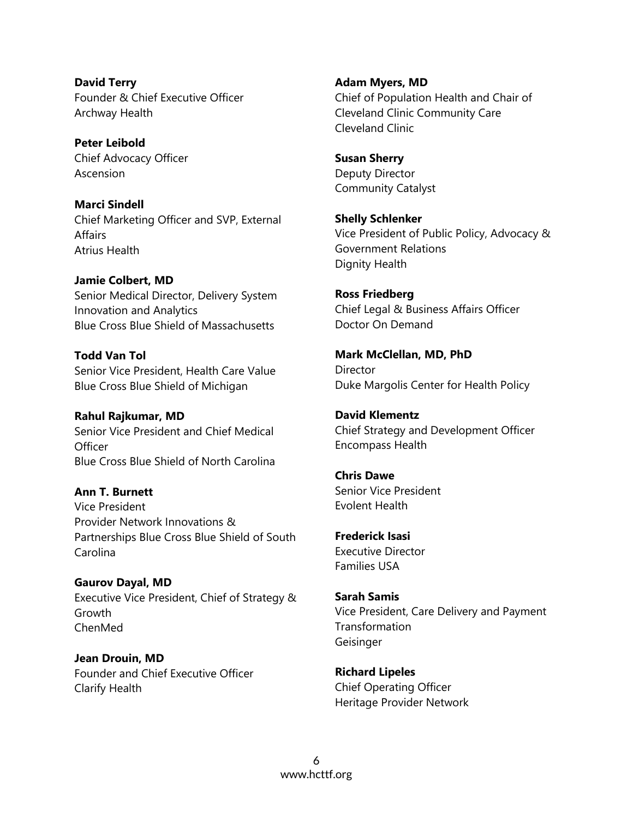**David Terry** Founder & Chief Executive Officer Archway Health

**Peter Leibold** Chief Advocacy Officer Ascension

**Marci Sindell** Chief Marketing Officer and SVP, External Affairs Atrius Health

**Jamie Colbert, MD** Senior Medical Director, Delivery System Innovation and Analytics Blue Cross Blue Shield of Massachusetts

**Todd Van Tol** Senior Vice President, Health Care Value Blue Cross Blue Shield of Michigan

**Rahul Rajkumar, MD** Senior Vice President and Chief Medical **Officer** Blue Cross Blue Shield of North Carolina

**Ann T. Burnett** Vice President Provider Network Innovations & Partnerships Blue Cross Blue Shield of South Carolina

**Gaurov Dayal, MD** Executive Vice President, Chief of Strategy & Growth ChenMed

**Jean Drouin, MD**  Founder and Chief Executive Officer Clarify Health

**Adam Myers, MD** Chief of Population Health and Chair of Cleveland Clinic Community Care Cleveland Clinic

**Susan Sherry** Deputy Director Community Catalyst

**Shelly Schlenker**  Vice President of Public Policy, Advocacy & Government Relations Dignity Health

**Ross Friedberg** Chief Legal & Business Affairs Officer Doctor On Demand

**Mark McClellan, MD, PhD Director** Duke Margolis Center for Health Policy

**David Klementz** Chief Strategy and Development Officer Encompass Health

**Chris Dawe** Senior Vice President Evolent Health

**Frederick Isasi** Executive Director Families USA

**Sarah Samis** Vice President, Care Delivery and Payment **Transformation** Geisinger

**Richard Lipeles** Chief Operating Officer Heritage Provider Network